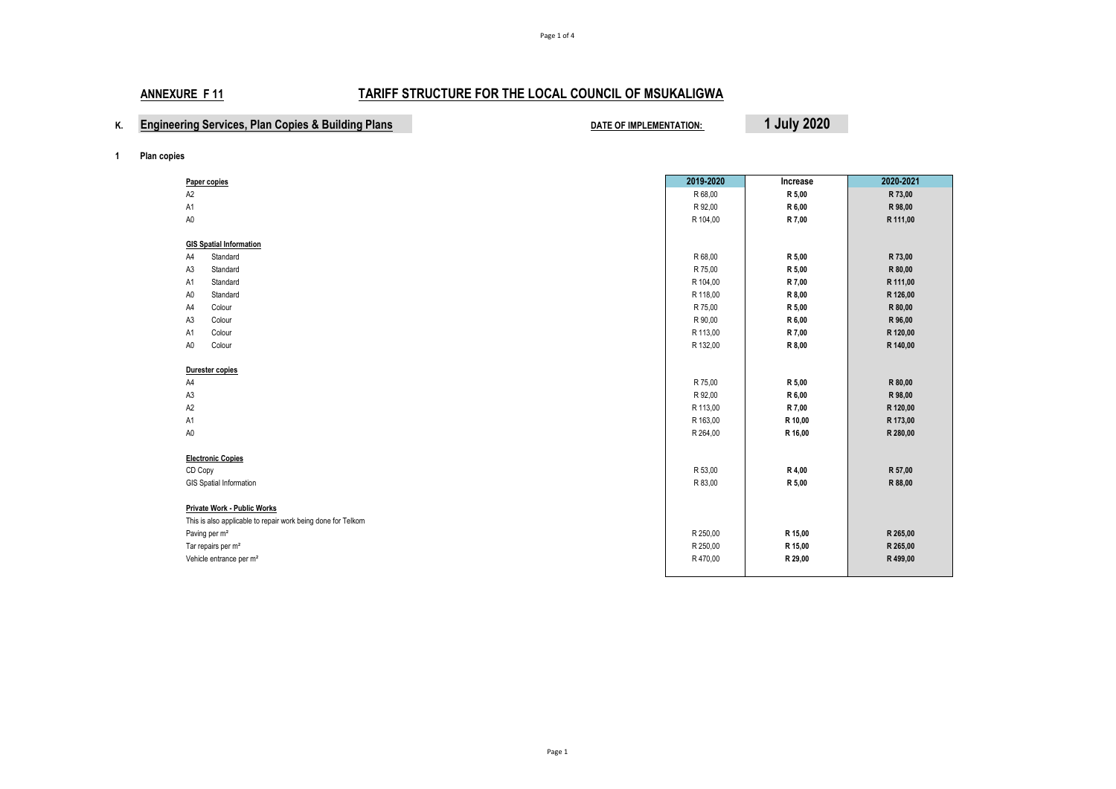|  |  | <b>Engineering Services, Plan Copies &amp; Building Plans</b> |  |
|--|--|---------------------------------------------------------------|--|
|--|--|---------------------------------------------------------------|--|

**EXAMPLEMENTATION: Plan Blanch COPIES BUILDING PLAN COPIES ASSESS** 

**1 Plan copies**

|                                                              | 2019-2020 | Increase | 2020-2021 |
|--------------------------------------------------------------|-----------|----------|-----------|
| Paper copies                                                 |           |          |           |
| A <sub>2</sub>                                               | R 68,00   | R 5,00   | R 73,00   |
| A1                                                           | R 92,00   | R 6,00   | R 98,00   |
| A <sub>0</sub>                                               | R 104,00  | R 7,00   | R 111,00  |
| <b>GIS Spatial Information</b>                               |           |          |           |
| A4<br>Standard                                               | R 68,00   | R 5,00   | R 73,00   |
| A3<br>Standard                                               | R 75,00   | R 5,00   | R 80,00   |
| Standard<br>A1                                               | R 104,00  | R 7,00   | R 111,00  |
| A <sub>0</sub><br>Standard                                   | R 118,00  | R 8,00   | R 126,00  |
| Colour<br>A4                                                 | R 75,00   | R 5,00   | R 80,00   |
| A <sub>3</sub><br>Colour                                     | R 90,00   | R 6,00   | R 96,00   |
| Colour<br>A <sub>1</sub>                                     | R 113,00  | R 7,00   | R 120,00  |
| A <sub>0</sub><br>Colour                                     | R 132,00  | R 8,00   | R 140,00  |
|                                                              |           |          |           |
| Durester copies                                              |           |          |           |
| A4                                                           | R 75,00   | R 5,00   | R 80,00   |
| A <sub>3</sub>                                               | R 92,00   | R 6,00   | R 98,00   |
| A <sub>2</sub>                                               | R 113,00  | R 7,00   | R 120,00  |
| A1                                                           | R 163,00  | R 10,00  | R 173,00  |
| $\mathsf{A}0$                                                | R 264,00  | R 16,00  | R 280,00  |
|                                                              |           |          |           |
| <b>Electronic Copies</b>                                     |           |          |           |
| CD Copy                                                      | R 53,00   | R 4,00   | R 57,00   |
| GIS Spatial Information                                      | R 83,00   | R 5,00   | R 88,00   |
|                                                              |           |          |           |
| Private Work - Public Works                                  |           |          |           |
| This is also applicable to repair work being done for Telkom |           |          |           |
| Paving per m <sup>2</sup>                                    | R 250,00  | R 15,00  | R 265,00  |
| Tar repairs per m <sup>2</sup>                               | R 250,00  | R 15,00  | R 265,00  |
| Vehicle entrance per m <sup>2</sup>                          | R 470,00  | R 29,00  | R 499,00  |
|                                                              |           |          |           |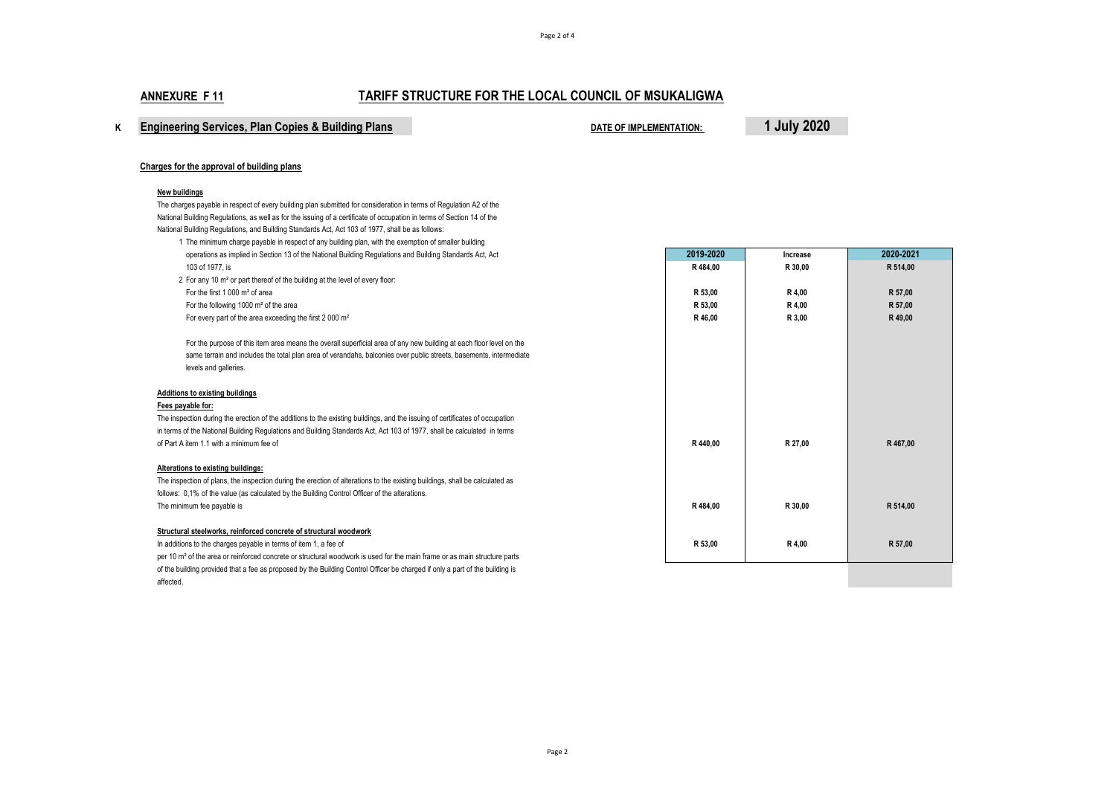# **<sup>K</sup> Engineering Services, Plan Copies & Building Plans DATE OF IMPLEMENTATION: 1 July 2020**

#### **Charges for the approval of building plans**

#### **New buildings**

The charges payable in respect of every building plan submitted for consideration in terms of Regulation A2 of the National Building Regulations, as well as for the issuing of a certificate of occupation in terms of Section 14 of the National Building Regulations, and Building Standards Act, Act 103 of 1977, shall be as follows:

1 The minimum charge payable in respect of any building plan, with the exemption of smaller building operations as implied in Section 13 of the National Building Regulations and Building Standards Act, Act **2019-2020 Increase 2020-2021** 103 of 1977, is **R 484,00 R 30,00 R 514,00**

2 For any 10 m² or part thereof of the building at the level of every floor: For the following 1000 m<sup>2</sup> of the area For every part of the area exceeding the first 2 000 m<sup>2</sup>

#### **Additions to existing buildings**

### **Fees payable for:**

The inspection during the erection of the additions to the existing buildings, and the issuing of certificates of occupation in terms of the National Building Regulations and Building Standards Act, Act 103 of 1977, shall be calculated in terms of Part A item 1.1 with a minimum fee of

#### **Alterations to existing buildings:**

The inspection of plans, the inspection during the erection of alterations to the existing buildings, shall be calculated as follows: 0,1% of the value (as calculated by the Building Control Officer of the alterations. The minimum fee payable is

#### **Structural steelworks, reinforced concrete of structural woodwork**

In additions to the charges payable in terms of item 1, a fee of

per 10 m² of the area or reinforced concrete or structural woodwork is used for the main frame or as main structure parts of the building provided that a fee as proposed by the Building Control Officer be charged if only a part of the building is affected.

| operations as implied in Section 13 of the National Building Regulations and Building Standards Act, Act            | 2019-2020 | Increase | 2020-2021 |
|---------------------------------------------------------------------------------------------------------------------|-----------|----------|-----------|
| 103 of 1977, is                                                                                                     | R 484,00  | R 30.00  | R 514.00  |
| For any 10 m <sup>2</sup> or part thereof of the building at the level of every floor:                              |           |          |           |
| For the first 1 000 m <sup>2</sup> of area                                                                          | R 53.00   | R 4.00   | R 57.00   |
| For the following 1000 m <sup>2</sup> of the area                                                                   | R 53.00   | R 4.00   | R 57,00   |
| For every part of the area exceeding the first 2 000 m <sup>2</sup>                                                 | R46.00    | R 3.00   | R 49,00   |
| For the purpose of this item area means the overall superficial area of any new building at each floor level on the |           |          |           |
| same terrain and includes the total plan area of verandahs, balconies over public streets, basements, intermediate  |           |          |           |
| levels and galleries.                                                                                               |           |          |           |
| s to existing buildings                                                                                             |           |          |           |
| able for:                                                                                                           |           |          |           |
| ction during the erection of the additions to the existing buildings, and the issuing of certificates of occupation |           |          |           |
| of the National Building Regulations and Building Standards Act, Act 103 of 1977, shall be calculated in terms      |           |          |           |
| item 1.1 with a minimum fee of                                                                                      | R 440.00  | R 27.00  | R 467.00  |
| ns to existing buildings:                                                                                           |           |          |           |
| ction of plans, the inspection during the erection of alterations to the existing buildings, shall be calculated as |           |          |           |
| 1% of the value (as calculated by the Building Control Officer of the alterations.                                  |           |          |           |
| num fee payable is                                                                                                  | R484.00   | R 30.00  | R 514.00  |
| I steelworks, reinforced concrete of structural woodwork                                                            |           |          |           |
| ns to the charges payable in terms of item 1, a fee of                                                              | R 53,00   | R 4,00   | R 57,00   |
| of the area or reinforced concrete or structural woodwork is used for the main frame or as main structure parts     |           |          |           |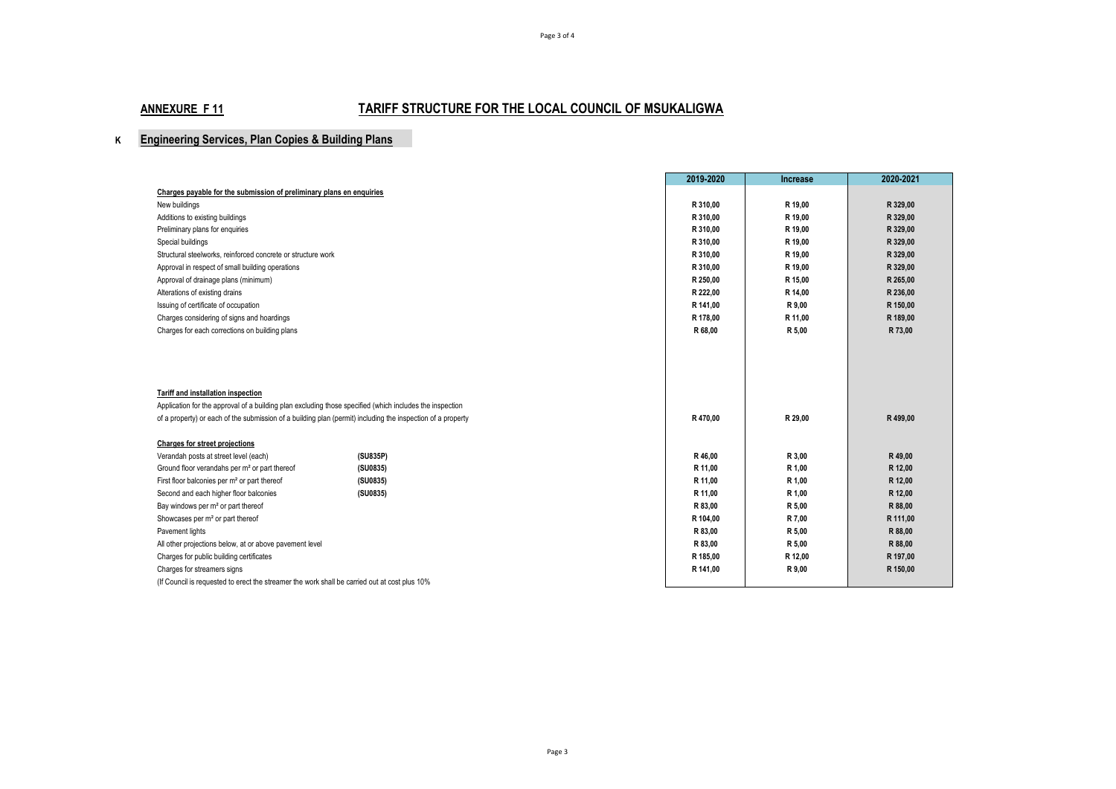# **K Engineering Services, Plan Copies & Building Plans**

|                                                                                                             | 2019-2020 | <b>Increase</b> | 2020-2021 |
|-------------------------------------------------------------------------------------------------------------|-----------|-----------------|-----------|
| Charges payable for the submission of preliminary plans en enquiries                                        |           |                 |           |
| New buildings                                                                                               | R 310.00  | R 19,00         | R 329,00  |
| Additions to existing buildings                                                                             | R 310,00  | R 19,00         | R 329,00  |
| Preliminary plans for enquiries                                                                             | R 310,00  | R 19,00         | R 329,00  |
| Special buildings                                                                                           | R 310,00  | R 19,00         | R 329,00  |
| Structural steelworks, reinforced concrete or structure work                                                | R 310.00  | R 19.00         | R 329,00  |
| Approval in respect of small building operations                                                            | R 310,00  | R 19,00         | R 329,00  |
| Approval of drainage plans (minimum)                                                                        | R 250,00  | R 15.00         | R 265,00  |
| Alterations of existing drains                                                                              | R 222,00  | R 14,00         | R 236,00  |
| Issuing of certificate of occupation                                                                        | R 141,00  | R 9,00          | R 150,00  |
| Charges considering of signs and hoardings                                                                  | R 178,00  | R 11.00         | R 189,00  |
| Charges for each corrections on building plans                                                              | R 68,00   | R 5,00          | R 73,00   |
|                                                                                                             |           |                 |           |
|                                                                                                             |           |                 |           |
|                                                                                                             |           |                 |           |
|                                                                                                             |           |                 |           |
| Tariff and installation inspection                                                                          |           |                 |           |
| Application for the approval of a building plan excluding those specified (which includes the inspection    |           |                 |           |
| of a property) or each of the submission of a building plan (permit) including the inspection of a property | R 470,00  | R 29,00         | R 499,00  |
|                                                                                                             |           |                 |           |
| Charges for street projections                                                                              |           |                 |           |
| (SU835P)<br>Verandah posts at street level (each)                                                           | R 46,00   | R 3,00          | R 49,00   |
| Ground floor verandahs per m <sup>2</sup> or part thereof<br>(SU0835)                                       | R 11,00   | R 1,00          | R 12,00   |
| First floor balconies per m <sup>2</sup> or part thereof<br>(SU0835)                                        | R 11.00   | R 1.00          | R 12,00   |
| Second and each higher floor balconies<br>(SU0835)                                                          | R 11.00   | R 1,00          | R 12,00   |
| Bay windows per m <sup>2</sup> or part thereof                                                              | R 83,00   | R 5,00          | R 88,00   |
| Showcases per m <sup>2</sup> or part thereof                                                                | R 104,00  | R 7,00          | R 111,00  |
| Pavement lights                                                                                             | R 83,00   | R 5,00          | R 88,00   |
| All other projections below, at or above pavement level                                                     | R 83,00   | R 5,00          | R 88,00   |
| Charges for public building certificates                                                                    | R 185,00  | R 12,00         | R 197,00  |
| Charges for streamers signs                                                                                 | R 141,00  | R 9,00          | R 150,00  |
| (If Council is requested to erect the streamer the work shall be carried out at cost plus 10%               |           |                 |           |